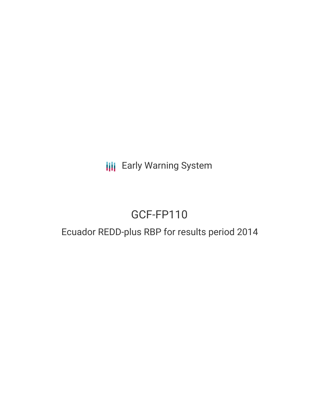**III** Early Warning System

# GCF-FP110

## Ecuador REDD-plus RBP for results period 2014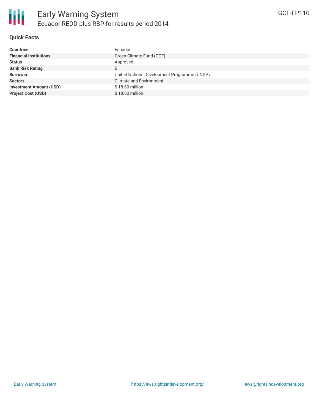

#### **Quick Facts**

| <b>Countries</b>               | Ecuador                                     |
|--------------------------------|---------------------------------------------|
| <b>Financial Institutions</b>  | Green Climate Fund (GCF)                    |
| <b>Status</b>                  | Approved                                    |
| <b>Bank Risk Rating</b>        | B                                           |
| <b>Borrower</b>                | United Nations Development Programme (UNDP) |
| <b>Sectors</b>                 | <b>Climate and Environment</b>              |
| <b>Investment Amount (USD)</b> | \$18.60 million                             |
| <b>Project Cost (USD)</b>      | $$18.60$ million                            |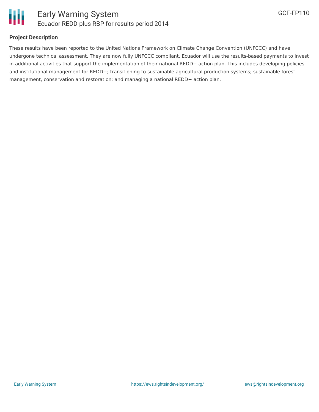

#### **Project Description**

These results have been reported to the United Nations Framework on Climate Change Convention (UNFCCC) and have undergone technical assessment. They are now fully UNFCCC compliant. Ecuador will use the results-based payments to invest in additional activities that support the implementation of their national REDD+ action plan. This includes developing policies and institutional management for REDD+; transitioning to sustainable agricultural production systems; sustainable forest management, conservation and restoration; and managing a national REDD+ action plan.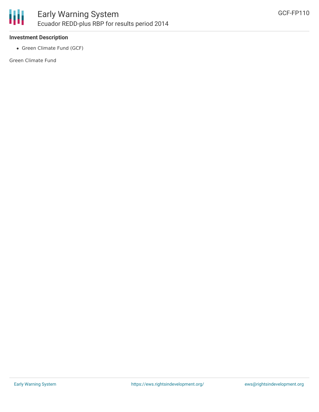

#### **Investment Description**

• Green Climate Fund (GCF)

Green Climate Fund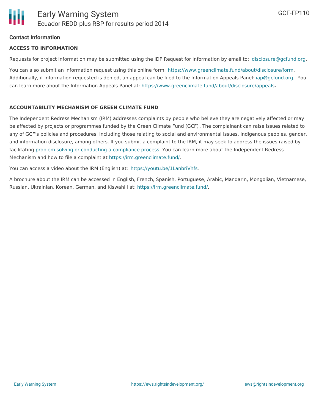## **Contact Information**

### **ACCESS TO INFORMATION**

Requests for project information may be submitted using the IDP Request for Information by email to: [disclosure@gcfund.org](mailto:disclosure@gcfund.org).

You can also submit an information request using this online form: <https://www.greenclimate.fund/about/disclosure/form>. Additionally, if information requested is denied, an appeal can be filed to the Information Appeals Panel: [iap@gcfund.org](mailto:iap@gcfund.org). You can learn more about the Information Appeals Panel at: <https://www.greenclimate.fund/about/disclosure/appeals>**.**

## **ACCOUNTABILITY MECHANISM OF GREEN CLIMATE FUND**

The Independent Redress Mechanism (IRM) addresses complaints by people who believe they are negatively affected or may be affected by projects or programmes funded by the Green Climate Fund (GCF). The complainant can raise issues related to any of GCF's policies and procedures, including those relating to social and environmental issues, indigenous peoples, gender, and information disclosure, among others. If you submit a complaint to the IRM, it may seek to address the issues raised by facilitating problem solving or conducting a [compliance](https://irm.greenclimate.fund/about-the-irm/how-we-work) process. You can learn more about the Independent Redress Mechanism and how to file a complaint at <https://irm.greenclimate.fund/>.

You can access a video about the IRM (English) at: <https://youtu.be/1LanbriVhfs>.

A brochure about the IRM can be accessed in English, French, Spanish, Portuguese, Arabic, Mandarin, Mongolian, Vietnamese, Russian, Ukrainian, Korean, German, and Kiswahili at: <https://irm.greenclimate.fund/>.